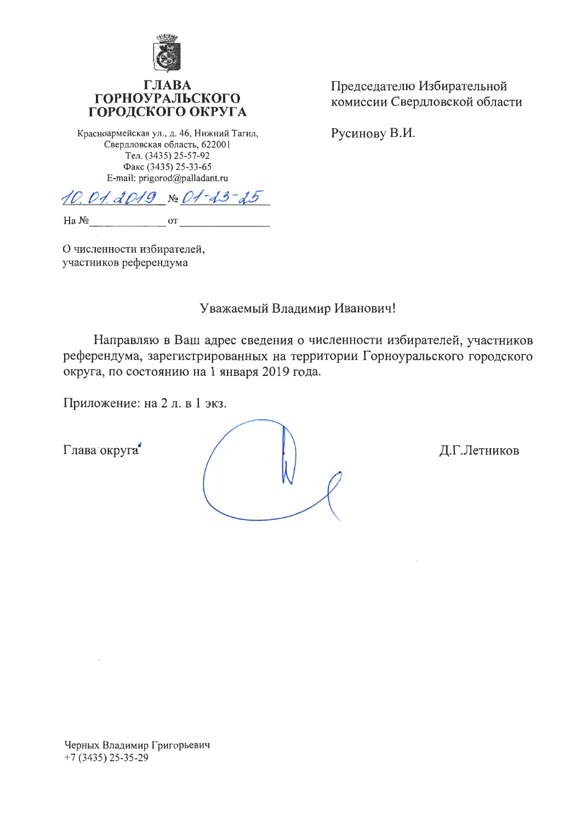

### $\Gamma$ JIA **ГОРНОУРАЛЬСКОГО** ГОРОДСКОГО ОКРУГА

Красноармейская ул., д. 46, Нижний Тагил, Свердловская область, 622001 Тел. (3435) 25-57-92 Факс (3435) 25-33-65 E-mail: prigorod@palladant.ru

 $10.01. d019 \times 01 - 13 - 15$ 

Ha No **OT** 

О численности избирателей, участников референдума

Уважаемый Владимир Иванович!

Направляю в Ваш адрес сведения о численности избирателей, участников референдума, зарегистрированных на территории Горноуральского городского округа, по состоянию на 1 января 2019 года.

Приложение: на 2 л. в 1 экз.

Глава округа

Председателю Избирательной комиссии Свердловской области

Русинову В.И.

Д.Г.Летников

Черных Владимир Григорьевич  $+7(3435)$  25-35-29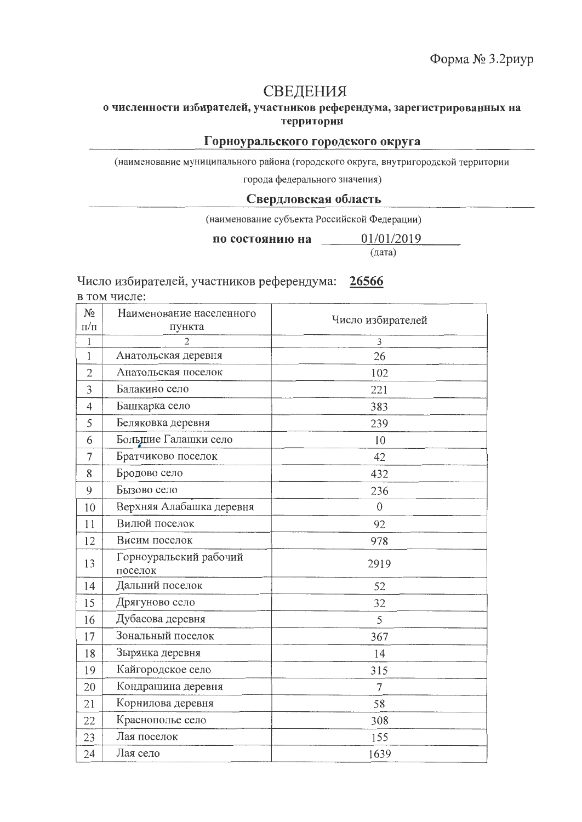# СВЕДЕНИЯ

## о численности избирателей, участников референдума, зарегистрированных на территории

#### Горноуральского городского округа

(наименование муниципального района (городского округа, внутригородской территории

города федерального значения)

#### Свердловская область

(наименование субъекта Российской Федерации)

01/01/2019 по состоянию на

(дата)

Число избирателей, участников референдума: 26566

в том числе:

| $N_2$          | Наименование населенного          |                   |
|----------------|-----------------------------------|-------------------|
| $\Pi/\Pi$      | пункта                            | Число избирателей |
| $\mathbf{1}$   | $\overline{2}$                    | 3                 |
| $\mathbf{1}$   | Анатольская деревня               | 26                |
| $\overline{2}$ | Анатольская поселок               | 102               |
| 3              | Балакино село                     | 221               |
| 4              | Башкарка село                     | 383               |
| 5              | Беляковка деревня                 | 239               |
| 6              | Большие Галашки село              | 10                |
| $\overline{7}$ | Братчиково поселок                | 42                |
| 8              | Бродово село                      | 432               |
| 9              | Бызово село                       | 236               |
| 10             | Верхняя Алабашка деревня          | $\overline{0}$    |
| 11             | Вилюй поселок                     | 92                |
| 12             | Висим поселок                     | 978               |
| 13             | Горноуральский рабочий<br>поселок | 2919              |
| 14             | Дальний поселок                   | 52                |
| 15             | Дрягуново село                    | 32                |
| 16             | Дубасова деревня                  | 5                 |
| 17             | Зональный поселок                 | 367               |
| 18             | Зырянка деревня                   | 14                |
| 19             | Кайгородское село                 | 315               |
| 20             | Кондрашина деревня                | 7                 |
| 21             | Корнилова деревня                 | 58                |
| 22             | Краснополье село                  | 308               |
| 23             | Лая поселок                       | 155               |
| 24             | Лая село                          | 1639              |